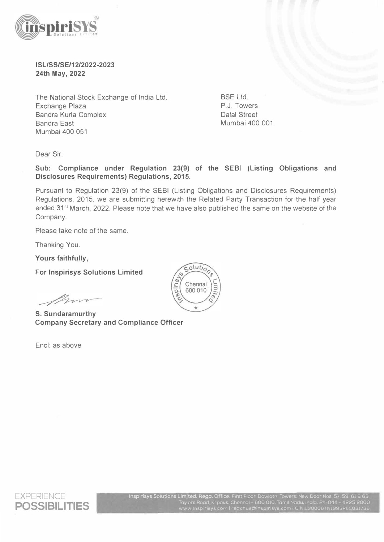

## **ISL/SS/SE/12/2022-2023 24th May, 2022**

The National Stock Exchange of India Ltd. Exchange Plaza Bandra Kurla Complex **Bandra East** Mumbai 400 051

BSE Ltd. P.J. Towers Dalal Street Mumbai 400 001

Dear Sir,

**Sub: Compliance under Regulation 23(9) of the SEBI (Listing Obligations and Disclosures Requirements) Regulations, 2015.** 

Pursuant to Regulation 23(9) of the SEBI (Listing Obligations and Disclosures Requirements) Regulations, 2015, we are submitting herewith the Related Party Transaction for the half year ended 31<sup>st</sup> March, 2022. Please note that we have also published the same on the website of the Company.

Please take note of the same.

Thanking You.

**Yours faithfully,** 

**For lnspirisys Solutions Limited** 

m

**S. Sundaramurthy Company Secretary and Compliance Officer** 

Encl: as above





Inspirisys Solutions Limited. Regd. Office: First Floor. Dowloth Towers. New Door Nos Taylors Road Kılpauk. Chennaı - 601 www inspirisys com | reachus@inspirisys.com | CIN:L30006TN1995PLC031736